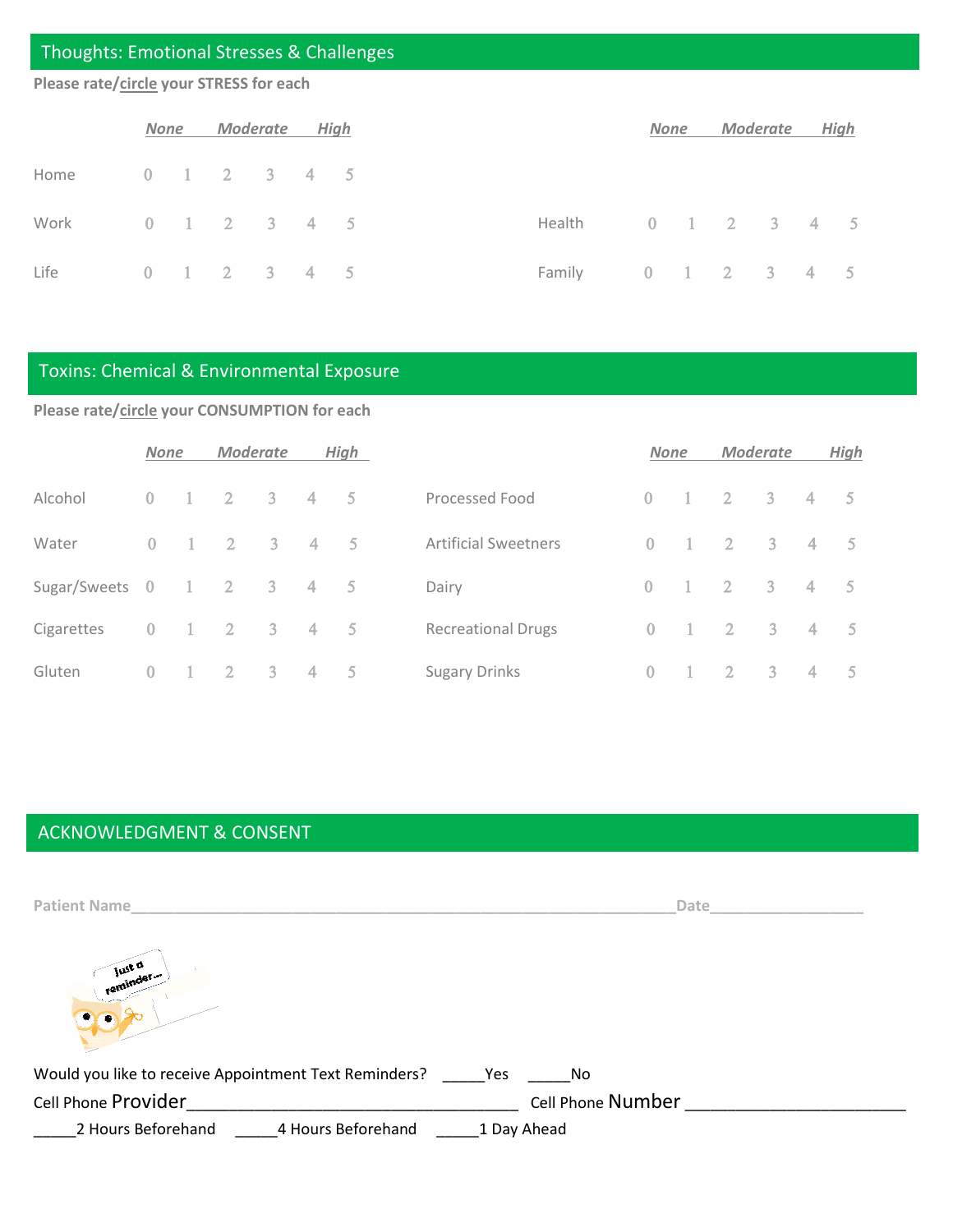#### Thoughts: Emotional Stresses & Challenges

#### **Please rate/circle your STRESS for each**

|                                 |  | None Moderate High |  |                                | None | Moderate |  | High |
|---------------------------------|--|--------------------|--|--------------------------------|------|----------|--|------|
| Home    0    1    2   3   4   5 |  |                    |  |                                |      |          |  |      |
| Work 0 1 2 3 4 5                |  |                    |  | Health   0   1   2   3   4   5 |      |          |  |      |
| Life 0 1 2 3 4 5                |  |                    |  | Family 0 1 2 3 4 5             |      |          |  |      |

#### Toxins: Chemical & Environmental Exposure

**Please rate/circle your CONSUMPTION for each**

|                | <b>None</b>    |                | <b>Moderate</b>            |                           |                | High |                             | <b>None</b>    |                | <b>Moderate</b> |                            |                | High           |
|----------------|----------------|----------------|----------------------------|---------------------------|----------------|------|-----------------------------|----------------|----------------|-----------------|----------------------------|----------------|----------------|
| Alcohol        | $\overline{0}$ | $-1$           | $\overline{2}$             | $\overline{3}$            | $-4$           | $-5$ | Processed Food              | $\Omega$       |                | $\overline{2}$  | $\overline{\phantom{a}}$ 3 | $\overline{4}$ | - 5            |
| Water          | $\overline{0}$ | $\blacksquare$ | $\overline{2}$             | $\overline{\phantom{a}3}$ | $\overline{4}$ | $-5$ | <b>Artificial Sweetners</b> | $\Omega$       | $-1$           | $\overline{2}$  | $3 -$                      | $\overline{4}$ | 5 <sup>5</sup> |
| Sugar/Sweets 0 |                | $\pm$          | $\overline{\phantom{a}}$   | $\overline{\mathbf{3}}$   | 4              | $-5$ | Dairy                       | $\overline{0}$ |                | $\overline{2}$  | $\overline{\phantom{a}}$ 3 | $\overline{4}$ | 5 <sup>5</sup> |
| Cigarettes     | $\overline{0}$ | $\blacksquare$ | $\overline{\phantom{a}}$ 2 | $\overline{\mathbf{3}}$   | $4 -$          | 5    | <b>Recreational Drugs</b>   | $\Omega$       | $\overline{1}$ | $\overline{2}$  | 3 <sup>1</sup>             | $\overline{4}$ | 5 <sub>5</sub> |
| Gluten         | $\overline{0}$ | $^{-1}$        | $\overline{2}$             | $\overline{3}$            | $\overline{4}$ | $-5$ | <b>Sugary Drinks</b>        | 0              |                | $\overline{2}$  | 3 <sup>1</sup>             | $\overline{4}$ | -5 -           |

#### ACKNOWLEDGMENT & CONSENT

| <b>Patient Name</b>                                   | <b>Date</b>       |
|-------------------------------------------------------|-------------------|
| Just a<br>reminder<br>$\bullet$                       |                   |
| Would you like to receive Appointment Text Reminders? | Yes<br>No         |
| Cell Phone Provider                                   | Cell Phone Number |
| 4 Hours Beforehand<br>2 Hours Beforehand              | 1 Day Ahead       |